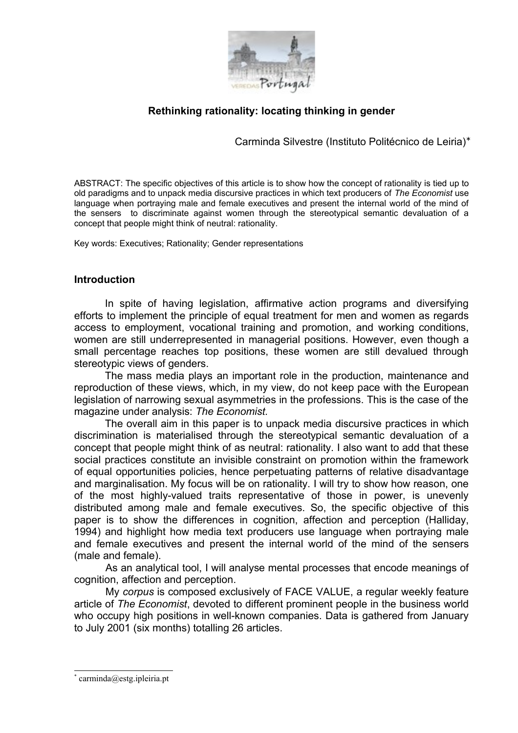

# **Rethinking rationality: locating thinking in gender**

Carminda Silvestre (Instituto Politécnico de Leiria)[∗](#page-0-0)

ABSTRACT: The specific objectives of this article is to show how the concept of rationality is tied up to old paradigms and to unpack media discursive practices in which text producers of *The Economist* use language when portraying male and female executives and present the internal world of the mind of the sensers to discriminate against women through the stereotypical semantic devaluation of a concept that people might think of neutral: rationality.

Key words: Executives; Rationality; Gender representations

### **Introduction**

In spite of having legislation, affirmative action programs and diversifying efforts to implement the principle of equal treatment for men and women as regards access to employment, vocational training and promotion, and working conditions, women are still underrepresented in managerial positions. However, even though a small percentage reaches top positions, these women are still devalued through stereotypic views of genders.

The mass media plays an important role in the production, maintenance and reproduction of these views, which, in my view, do not keep pace with the European legislation of narrowing sexual asymmetries in the professions. This is the case of the magazine under analysis: *The Economist.*

The overall aim in this paper is to unpack media discursive practices in which discrimination is materialised through the stereotypical semantic devaluation of a concept that people might think of as neutral: rationality. I also want to add that these social practices constitute an invisible constraint on promotion within the framework of equal opportunities policies, hence perpetuating patterns of relative disadvantage and marginalisation. My focus will be on rationality. I will try to show how reason, one of the most highly-valued traits representative of those in power, is unevenly distributed among male and female executives. So, the specific objective of this paper is to show the differences in cognition, affection and perception (Halliday, 1994) and highlight how media text producers use language when portraying male and female executives and present the internal world of the mind of the sensers (male and female).

As an analytical tool, I will analyse mental processes that encode meanings of cognition, affection and perception.

My *corpus* is composed exclusively of FACE VALUE, a regular weekly feature article of *The Economist*, devoted to different prominent people in the business world who occupy high positions in well-known companies. Data is gathered from January to July 2001 (six months) totalling 26 articles.

<span id="page-0-0"></span><sup>\*</sup> carminda@estg.ipleiria.pt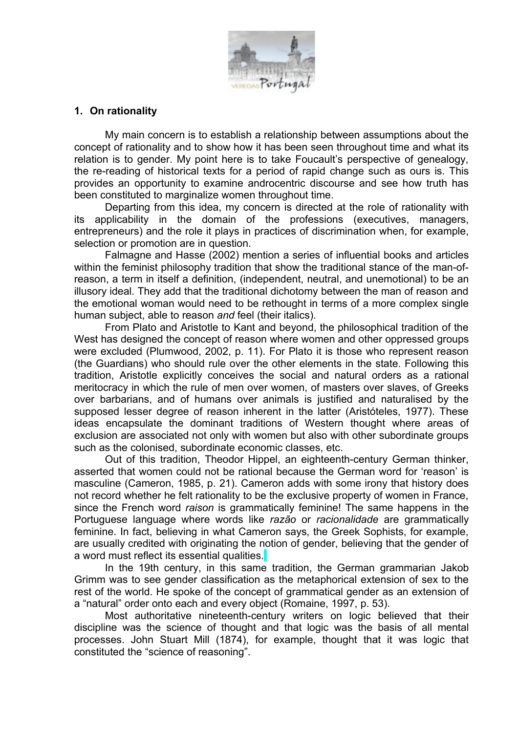

## **1. On rationality**

My main concern is to establish a relationship between assumptions about the concept of rationality and to show how it has been seen throughout time and what its relation is to gender. My point here is to take Foucault's perspective of genealogy, the re-reading of historical texts for a period of rapid change such as ours is. This provides an opportunity to examine androcentric discourse and see how truth has been constituted to marginalize women throughout time.

Departing from this idea, my concern is directed at the role of rationality with its applicability in the domain of the professions (executives, managers, entrepreneurs) and the role it plays in practices of discrimination when, for example, selection or promotion are in question.

Falmagne and Hasse (2002) mention a series of influential books and articles within the feminist philosophy tradition that show the traditional stance of the man-ofreason, a term in itself a definition, (independent, neutral, and unemotional) to be an illusory ideal. They add that the traditional dichotomy between the man of reason and the emotional woman would need to be rethought in terms of a more complex single human subject, able to reason *and* feel (their italics).

From Plato and Aristotle to Kant and beyond, the philosophical tradition of the West has designed the concept of reason where women and other oppressed groups were excluded (Plumwood, 2002, p. 11). For Plato it is those who represent reason (the Guardians) who should rule over the other elements in the state. Following this tradition, Aristotle explicitly conceives the social and natural orders as a rational meritocracy in which the rule of men over women, of masters over slaves, of Greeks over barbarians, and of humans over animals is justified and naturalised by the supposed lesser degree of reason inherent in the latter (Aristóteles, 1977). These ideas encapsulate the dominant traditions of Western thought where areas of exclusion are associated not only with women but also with other subordinate groups such as the colonised, subordinate economic classes, etc.

Out of this tradition, Theodor Hippel, an eighteenth-century German thinker, asserted that women could not be rational because the German word for 'reason' is masculine (Cameron, 1985, p. 21). Cameron adds with some irony that history does not record whether he felt rationality to be the exclusive property of women in France, since the French word *raison* is grammatically feminine! The same happens in the Portuguese language where words like *razão* or *racionalidade* are grammatically feminine. In fact, believing in what Cameron says, the Greek Sophists, for example, are usually credited with originating the notion of gender, believing that the gender of a word must reflect its essential qualities.

In the 19th century, in this same tradition, the German grammarian Jakob Grimm was to see gender classification as the metaphorical extension of sex to the rest of the world. He spoke of the concept of grammatical gender as an extension of a "natural" order onto each and every object (Romaine, 1997, p. 53).

Most authoritative nineteenth-century writers on logic believed that their discipline was the science of thought and that logic was the basis of all mental processes. John Stuart Mill (1874), for example, thought that it was logic that constituted the "science of reasoning".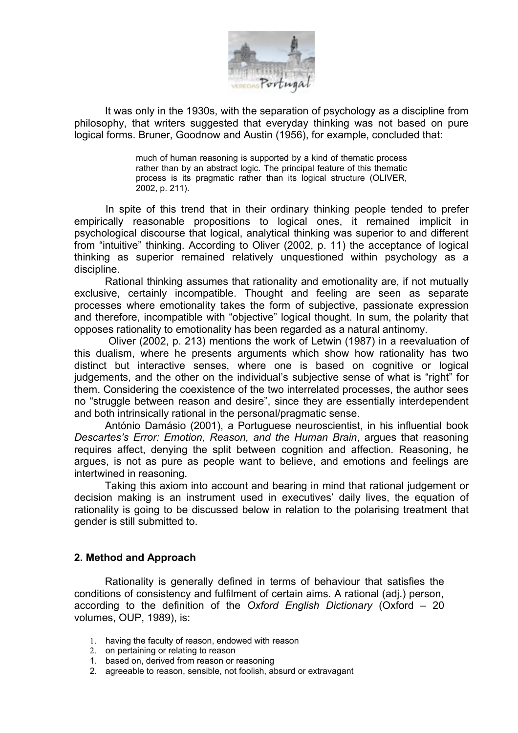

It was only in the 1930s, with the separation of psychology as a discipline from philosophy, that writers suggested that everyday thinking was not based on pure logical forms. Bruner, Goodnow and Austin (1956), for example, concluded that:

> much of human reasoning is supported by a kind of thematic process rather than by an abstract logic. The principal feature of this thematic process is its pragmatic rather than its logical structure (OLIVER, 2002, p. 211).

In spite of this trend that in their ordinary thinking people tended to prefer empirically reasonable propositions to logical ones, it remained implicit in psychological discourse that logical, analytical thinking was superior to and different from "intuitive" thinking. According to Oliver (2002, p. 11) the acceptance of logical thinking as superior remained relatively unquestioned within psychology as a discipline.

Rational thinking assumes that rationality and emotionality are, if not mutually exclusive, certainly incompatible. Thought and feeling are seen as separate processes where emotionality takes the form of subjective, passionate expression and therefore, incompatible with "objective" logical thought. In sum, the polarity that opposes rationality to emotionality has been regarded as a natural antinomy.

Oliver (2002, p. 213) mentions the work of Letwin (1987) in a reevaluation of this dualism, where he presents arguments which show how rationality has two distinct but interactive senses, where one is based on cognitive or logical judgements, and the other on the individual's subjective sense of what is "right" for them. Considering the coexistence of the two interrelated processes, the author sees no "struggle between reason and desire", since they are essentially interdependent and both intrinsically rational in the personal/pragmatic sense.

António Damásio (2001), a Portuguese neuroscientist, in his influential book *Descartes's Error: Emotion, Reason, and the Human Brain*, argues that reasoning requires affect, denying the split between cognition and affection. Reasoning, he argues, is not as pure as people want to believe, and emotions and feelings are intertwined in reasoning.

Taking this axiom into account and bearing in mind that rational judgement or decision making is an instrument used in executives' daily lives, the equation of rationality is going to be discussed below in relation to the polarising treatment that gender is still submitted to.

## **2. Method and Approach**

Rationality is generally defined in terms of behaviour that satisfies the conditions of consistency and fulfilment of certain aims. A rational (adj.) person, according to the definition of the *Oxford English Dictionary* (Oxford – 20 volumes, OUP, 1989), is:

- 1. having the faculty of reason, endowed with reason
- 2. on pertaining or relating to reason
- 1. based on, derived from reason or reasoning
- 2. agreeable to reason, sensible, not foolish, absurd or extravagant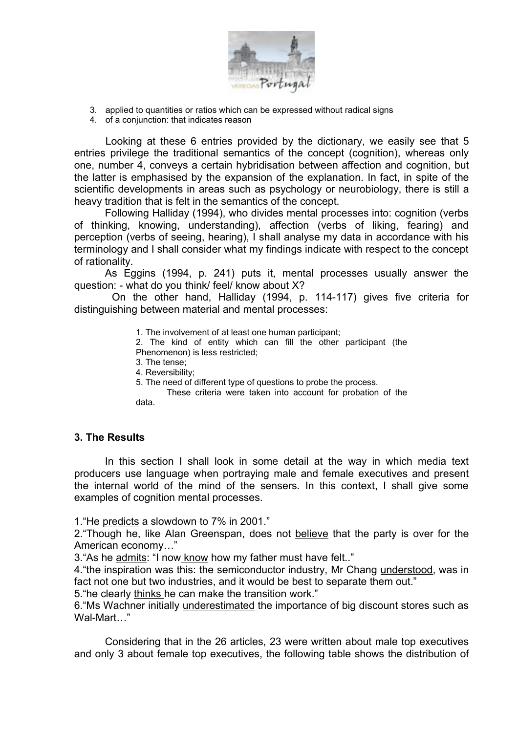

- 3. applied to quantities or ratios which can be expressed without radical signs
- 4. of a conjunction: that indicates reason

Looking at these 6 entries provided by the dictionary, we easily see that 5 entries privilege the traditional semantics of the concept (cognition), whereas only one, number 4, conveys a certain hybridisation between affection and cognition, but the latter is emphasised by the expansion of the explanation. In fact, in spite of the scientific developments in areas such as psychology or neurobiology, there is still a heavy tradition that is felt in the semantics of the concept.

Following Halliday (1994), who divides mental processes into: cognition (verbs of thinking, knowing, understanding), affection (verbs of liking, fearing) and perception (verbs of seeing, hearing), I shall analyse my data in accordance with his terminology and I shall consider what my findings indicate with respect to the concept of rationality.

As Eggins (1994, p. 241) puts it, mental processes usually answer the question: - what do you think/ feel/ know about X?

On the other hand, Halliday (1994, p. 114-117) gives five criteria for distinguishing between material and mental processes:

1. The involvement of at least one human participant;

2. The kind of entity which can fill the other participant (the

- Phenomenon) is less restricted;
- 3. The tense;
- 4. Reversibility;
- 5. The need of different type of questions to probe the process.

These criteria were taken into account for probation of the data.

## **3. The Results**

In this section I shall look in some detail at the way in which media text producers use language when portraying male and female executives and present the internal world of the mind of the sensers. In this context, I shall give some examples of cognition mental processes.

1."He predicts a slowdown to 7% in 2001."

2. "Though he, like Alan Greenspan, does not believe that the party is over for the American economy…"

3."As he admits: "I now know how my father must have felt.."

4."the inspiration was this: the semiconductor industry, Mr Chang understood, was in fact not one but two industries, and it would be best to separate them out."

5."he clearly thinks he can make the transition work."

6."Ms Wachner initially underestimated the importance of big discount stores such as Wal-Mart…"

Considering that in the 26 articles, 23 were written about male top executives and only 3 about female top executives, the following table shows the distribution of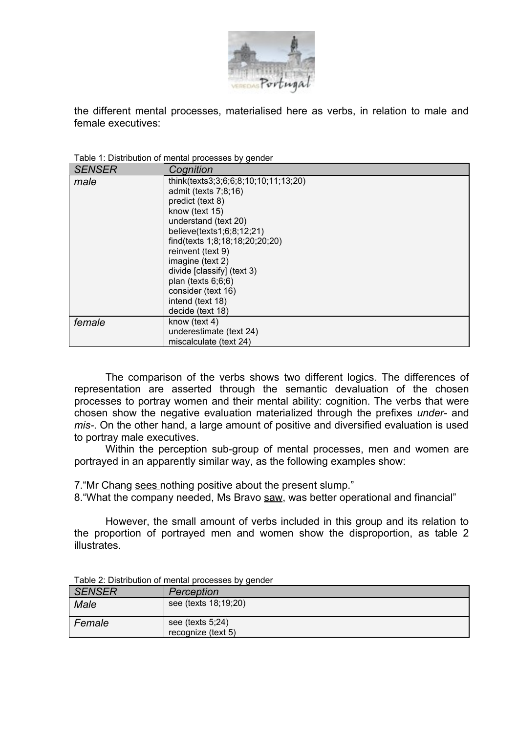

the different mental processes, materialised here as verbs, in relation to male and female executives:

Table 1: Distribution of mental processes by gender

| <b>SENSER</b> | Cognition                            |
|---------------|--------------------------------------|
| male          | think(texts3;3;6;6;8;10;10;11;13;20) |
|               | admit (texts 7;8;16)                 |
|               | predict (text 8)                     |
|               | know (text 15)                       |
|               | understand (text 20)                 |
|               | believe(texts1;6;8;12;21)            |
|               | find(texts 1;8;18;18;20;20;20)       |
|               | reinvent (text 9)                    |
|               | imagine (text 2)                     |
|               | divide [classify] (text 3)           |
|               | plan (texts $6;6;6$ )                |
|               | consider (text 16)                   |
|               | intend (text 18)                     |
|               | decide (text 18)                     |
| female        | know (text 4)                        |
|               | underestimate (text 24)              |
|               | miscalculate (text 24)               |

The comparison of the verbs shows two different logics. The differences of representation are asserted through the semantic devaluation of the chosen processes to portray women and their mental ability: cognition. The verbs that were chosen show the negative evaluation materialized through the prefixes *under-* and *mis-*. On the other hand, a large amount of positive and diversified evaluation is used to portray male executives.

Within the perception sub-group of mental processes, men and women are portrayed in an apparently similar way, as the following examples show:

7."Mr Chang sees nothing positive about the present slump."

8."What the company needed, Ms Bravo saw, was better operational and financial"

However, the small amount of verbs included in this group and its relation to the proportion of portrayed men and women show the disproportion, as table 2 illustrates.

| <b>SENSER</b> | Perception           |
|---------------|----------------------|
| Male          | see (texts 18;19;20) |
| Female        | see (texts $5,24$ )  |
|               | recognize (text 5)   |

Table 2: Distribution of mental processes by gender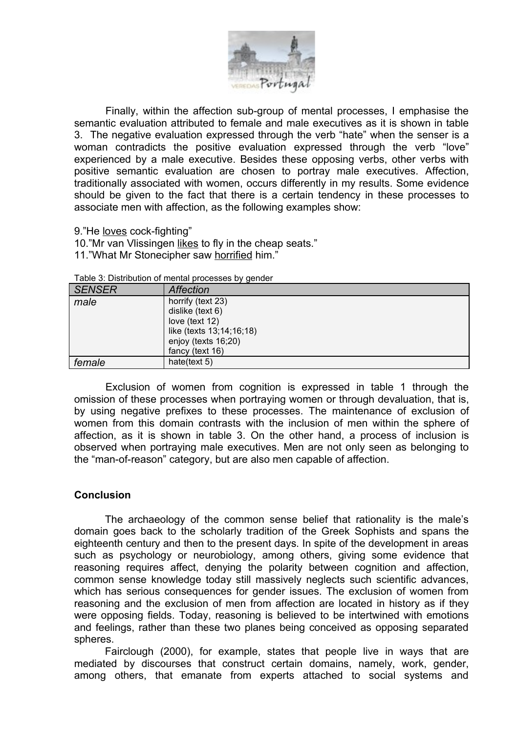

Finally, within the affection sub-group of mental processes, I emphasise the semantic evaluation attributed to female and male executives as it is shown in table 3. The negative evaluation expressed through the verb "hate" when the senser is a woman contradicts the positive evaluation expressed through the verb "love" experienced by a male executive. Besides these opposing verbs, other verbs with positive semantic evaluation are chosen to portray male executives. Affection, traditionally associated with women, occurs differently in my results. Some evidence should be given to the fact that there is a certain tendency in these processes to associate men with affection, as the following examples show:

9."He loves cock-fighting"

10."Mr van Vlissingen likes to fly in the cheap seats." 11."What Mr Stonecipher saw horrified him."

| <b>SENSER</b> | <b>Affection</b>                      |
|---------------|---------------------------------------|
| male          | horrify (text 23)                     |
|               | dislike (text 6)<br>love (text $12$ ) |
|               | like (texts 13;14;16;18)              |
|               | enjoy (texts 16;20)                   |
|               | fancy (text 16)                       |
| female        | hate(text 5)                          |

Table 3: Distribution of mental processes by gender

Exclusion of women from cognition is expressed in table 1 through the omission of these processes when portraying women or through devaluation, that is, by using negative prefixes to these processes. The maintenance of exclusion of women from this domain contrasts with the inclusion of men within the sphere of affection, as it is shown in table 3. On the other hand, a process of inclusion is observed when portraying male executives. Men are not only seen as belonging to the "man-of-reason" category, but are also men capable of affection.

## **Conclusion**

The archaeology of the common sense belief that rationality is the male's domain goes back to the scholarly tradition of the Greek Sophists and spans the eighteenth century and then to the present days. In spite of the development in areas such as psychology or neurobiology, among others, giving some evidence that reasoning requires affect, denying the polarity between cognition and affection, common sense knowledge today still massively neglects such scientific advances, which has serious consequences for gender issues. The exclusion of women from reasoning and the exclusion of men from affection are located in history as if they were opposing fields. Today, reasoning is believed to be intertwined with emotions and feelings, rather than these two planes being conceived as opposing separated spheres.

Fairclough (2000), for example, states that people live in ways that are mediated by discourses that construct certain domains, namely, work, gender, among others, that emanate from experts attached to social systems and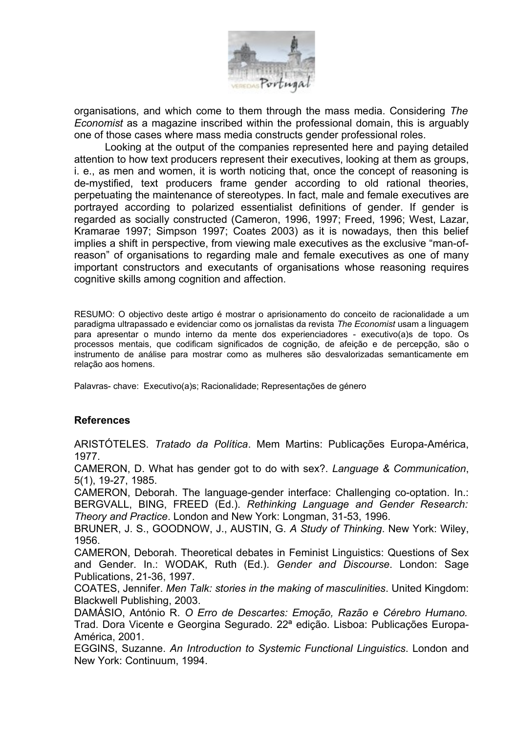

organisations, and which come to them through the mass media. Considering *The Economist* as a magazine inscribed within the professional domain, this is arguably one of those cases where mass media constructs gender professional roles.

Looking at the output of the companies represented here and paying detailed attention to how text producers represent their executives, looking at them as groups, i. e., as men and women, it is worth noticing that, once the concept of reasoning is de-mystified, text producers frame gender according to old rational theories, perpetuating the maintenance of stereotypes. In fact, male and female executives are portrayed according to polarized essentialist definitions of gender. If gender is regarded as socially constructed (Cameron, 1996, 1997; Freed, 1996; West, Lazar, Kramarae 1997; Simpson 1997; Coates 2003) as it is nowadays, then this belief implies a shift in perspective, from viewing male executives as the exclusive "man-ofreason" of organisations to regarding male and female executives as one of many important constructors and executants of organisations whose reasoning requires cognitive skills among cognition and affection.

RESUMO: O objectivo deste artigo é mostrar o aprisionamento do conceito de racionalidade a um paradigma ultrapassado e evidenciar como os jornalistas da revista *The Economist* usam a linguagem para apresentar o mundo interno da mente dos experienciadores - executivo(a)s de topo. Os processos mentais, que codificam significados de cognição, de afeição e de percepção, são o instrumento de análise para mostrar como as mulheres são desvalorizadas semanticamente em relação aos homens.

Palavras- chave: Executivo(a)s; Racionalidade; Representações de género

## **References**

ARISTÓTELES. *Tratado da Política*. Mem Martins: Publicações Europa-América, 1977.

CAMERON, D. What has gender got to do with sex?. *Language & Communication*, 5(1), 19-27, 1985.

CAMERON, Deborah. The language-gender interface: Challenging co-optation. In.: BERGVALL, BING, FREED (Ed.). *Rethinking Language and Gender Research: Theory and Practice*. London and New York: Longman, 31-53, 1996.

BRUNER, J. S., GOODNOW, J., AUSTIN, G. *A Study of Thinking*. New York: Wiley, 1956.

CAMERON, Deborah. Theoretical debates in Feminist Linguistics: Questions of Sex and Gender. In.: WODAK, Ruth (Ed.). *Gender and Discourse*. London: Sage Publications, 21-36, 1997.

COATES, Jennifer. *Men Talk: stories in the making of masculinities*. United Kingdom: Blackwell Publishing, 2003.

DAMÁSIO, António R. *O Erro de Descartes: Emoção, Razão e Cérebro Humano.* Trad. Dora Vicente e Georgina Segurado. 22ª edição. Lisboa: Publicações Europa-América, 2001.

EGGINS, Suzanne. *An Introduction to Systemic Functional Linguistics*. London and New York: Continuum, 1994.